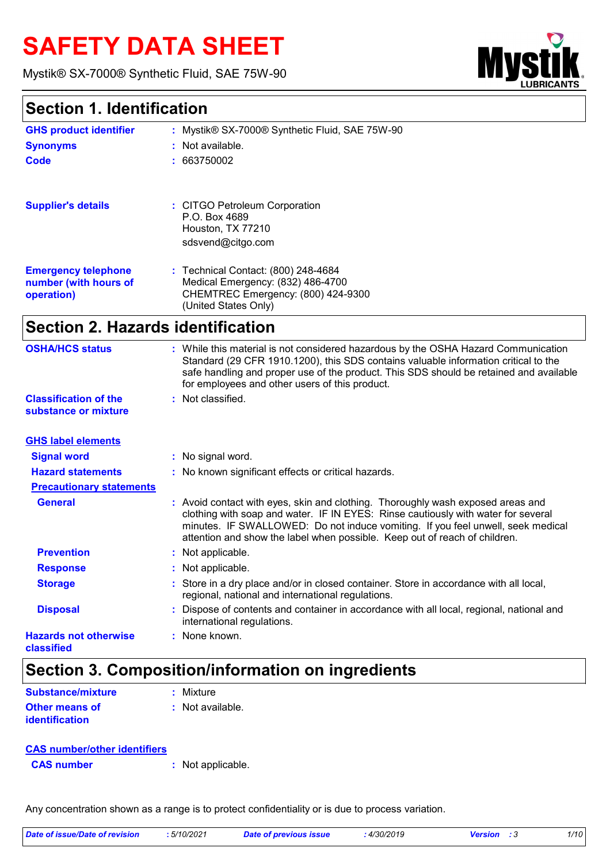# **SAFETY DATA SHEET**

Mystik® SX-7000® Synthetic Fluid, SAE 75W-90



### **Section 1. Identification**

| <b>GHS product identifier</b>                                     | Mystik® SX-7000® Synthetic Fluid, SAE 75W-90                                                                                                                                                                                                                                                                                          |
|-------------------------------------------------------------------|---------------------------------------------------------------------------------------------------------------------------------------------------------------------------------------------------------------------------------------------------------------------------------------------------------------------------------------|
| <b>Synonyms</b>                                                   | Not available.                                                                                                                                                                                                                                                                                                                        |
| <b>Code</b>                                                       | 663750002                                                                                                                                                                                                                                                                                                                             |
| <b>Supplier's details</b>                                         | : CITGO Petroleum Corporation<br>P.O. Box 4689<br>Houston, TX 77210<br>sdsvend@citgo.com                                                                                                                                                                                                                                              |
| <b>Emergency telephone</b><br>number (with hours of<br>operation) | : Technical Contact: (800) 248-4684<br>Medical Emergency: (832) 486-4700<br>CHEMTREC Emergency: (800) 424-9300<br>(United States Only)                                                                                                                                                                                                |
| <b>Section 2. Hazards identification</b>                          |                                                                                                                                                                                                                                                                                                                                       |
| <b>OSHA/HCS status</b>                                            | : While this material is not considered hazardous by the OSHA Hazard Communication<br>Standard (29 CFR 1910.1200), this SDS contains valuable information critical to the<br>safe handling and proper use of the product. This SDS should be retained and available<br>for employees and other users of this product.                 |
| <b>Classification of the</b><br>substance or mixture              | : Not classified.                                                                                                                                                                                                                                                                                                                     |
| <b>GHS label elements</b>                                         |                                                                                                                                                                                                                                                                                                                                       |
| <b>Signal word</b>                                                | : No signal word.                                                                                                                                                                                                                                                                                                                     |
| <b>Hazard statements</b>                                          | : No known significant effects or critical hazards.                                                                                                                                                                                                                                                                                   |
| <b>Precautionary statements</b>                                   |                                                                                                                                                                                                                                                                                                                                       |
| <b>General</b>                                                    | : Avoid contact with eyes, skin and clothing. Thoroughly wash exposed areas and<br>clothing with soap and water. IF IN EYES: Rinse cautiously with water for several<br>minutes. IF SWALLOWED: Do not induce vomiting. If you feel unwell, seek medical<br>attention and show the label when possible. Keep out of reach of children. |
| <b>Prevention</b>                                                 | : Not applicable.                                                                                                                                                                                                                                                                                                                     |
| <b>Response</b>                                                   | : Not applicable.                                                                                                                                                                                                                                                                                                                     |
| <b>Storage</b>                                                    | : Store in a dry place and/or in closed container. Store in accordance with all local,<br>regional, national and international regulations.                                                                                                                                                                                           |
| <b>Disposal</b>                                                   | Dispose of contents and container in accordance with all local, regional, national and<br>international regulations.                                                                                                                                                                                                                  |
| <b>Hazards not otherwise</b><br>classified                        | : None known.                                                                                                                                                                                                                                                                                                                         |

## **Section 3. Composition/information on ingredients**

| Substance/mixture     | : Mixture        |
|-----------------------|------------------|
| <b>Other means of</b> | : Not available. |
| identification        |                  |

### **CAS number :** Not applicable. **CAS number/other identifiers**

Any concentration shown as a range is to protect confidentiality or is due to process variation.

| Date of issue/Date of revision | .5/10/2021 | Date of previous issue | 4/30/2019 | Version | 1/10 |
|--------------------------------|------------|------------------------|-----------|---------|------|
|                                |            |                        |           |         |      |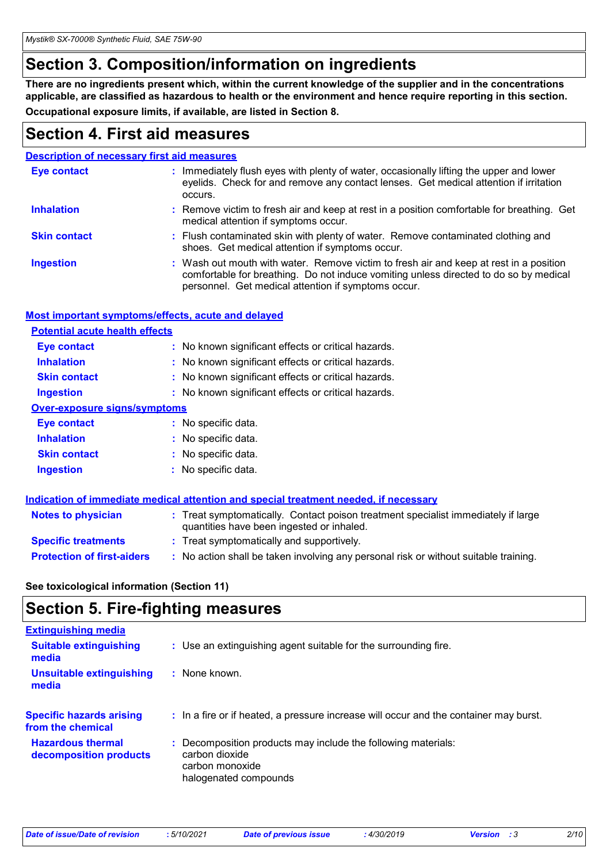## **Section 3. Composition/information on ingredients**

**There are no ingredients present which, within the current knowledge of the supplier and in the concentrations applicable, are classified as hazardous to health or the environment and hence require reporting in this section. Occupational exposure limits, if available, are listed in Section 8.**

### **Section 4. First aid measures**

### **Description of necessary first aid measures**

| <b>Eye contact</b>  | : Immediately flush eyes with plenty of water, occasionally lifting the upper and lower<br>eyelids. Check for and remove any contact lenses. Get medical attention if irritation<br>occurs.                                            |
|---------------------|----------------------------------------------------------------------------------------------------------------------------------------------------------------------------------------------------------------------------------------|
| <b>Inhalation</b>   | : Remove victim to fresh air and keep at rest in a position comfortable for breathing. Get<br>medical attention if symptoms occur.                                                                                                     |
| <b>Skin contact</b> | : Flush contaminated skin with plenty of water. Remove contaminated clothing and<br>shoes. Get medical attention if symptoms occur.                                                                                                    |
| <b>Ingestion</b>    | : Wash out mouth with water. Remove victim to fresh air and keep at rest in a position<br>comfortable for breathing. Do not induce vomiting unless directed to do so by medical<br>personnel. Get medical attention if symptoms occur. |

### **Most important symptoms/effects, acute and delayed**

### **Potential acute health effects**

| <b>Eye contact</b>                  | : No known significant effects or critical hazards. |
|-------------------------------------|-----------------------------------------------------|
| <b>Inhalation</b>                   | : No known significant effects or critical hazards. |
| <b>Skin contact</b>                 | : No known significant effects or critical hazards. |
| <b>Ingestion</b>                    | : No known significant effects or critical hazards. |
| <b>Over-exposure signs/symptoms</b> |                                                     |
| Eye contact                         | : No specific data.                                 |
| <b>Inhalation</b>                   | : No specific data.                                 |
| <b>Skin contact</b>                 | : No specific data.                                 |
| <b>Ingestion</b>                    | : No specific data.                                 |
|                                     |                                                     |

| Indication of immediate medical attention and special treatment needed, if necessary |                                                                                                                                |  |  |
|--------------------------------------------------------------------------------------|--------------------------------------------------------------------------------------------------------------------------------|--|--|
| <b>Notes to physician</b>                                                            | : Treat symptomatically. Contact poison treatment specialist immediately if large<br>quantities have been ingested or inhaled. |  |  |
| <b>Specific treatments</b>                                                           | : Treat symptomatically and supportively.                                                                                      |  |  |
| <b>Protection of first-aiders</b>                                                    | : No action shall be taken involving any personal risk or without suitable training.                                           |  |  |

### **See toxicological information (Section 11)**

### **Section 5. Fire-fighting measures**

| <b>Extinguishing media</b>                           |                                                                                                                             |
|------------------------------------------------------|-----------------------------------------------------------------------------------------------------------------------------|
| <b>Suitable extinguishing</b><br>media               | : Use an extinguishing agent suitable for the surrounding fire.                                                             |
| <b>Unsuitable extinguishing</b><br>media             | : None known.                                                                                                               |
| <b>Specific hazards arising</b><br>from the chemical | : In a fire or if heated, a pressure increase will occur and the container may burst.                                       |
| <b>Hazardous thermal</b><br>decomposition products   | : Decomposition products may include the following materials:<br>carbon dioxide<br>carbon monoxide<br>halogenated compounds |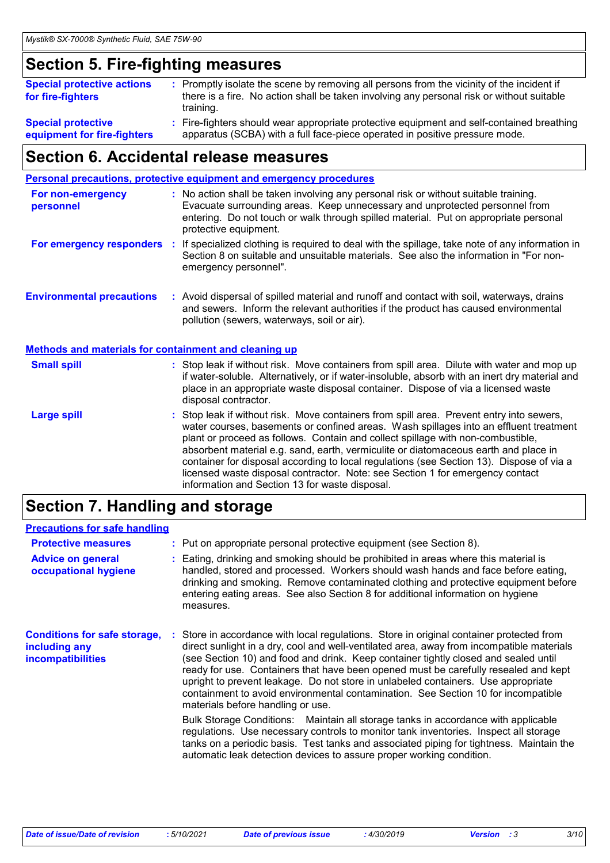## **Section 5. Fire-fighting measures**

| <b>Special protective actions</b><br>for fire-fighters | : Promptly isolate the scene by removing all persons from the vicinity of the incident if<br>there is a fire. No action shall be taken involving any personal risk or without suitable<br>training. |
|--------------------------------------------------------|-----------------------------------------------------------------------------------------------------------------------------------------------------------------------------------------------------|
| <b>Special protective</b>                              | : Fire-fighters should wear appropriate protective equipment and self-contained breathing                                                                                                           |
| equipment for fire-fighters                            | apparatus (SCBA) with a full face-piece operated in positive pressure mode.                                                                                                                         |

### **Section 6. Accidental release measures**

|                                                              | Personal precautions, protective equipment and emergency procedures                                                                                                                                                                                                                                                                                                                                                                                                                                                                                                                        |
|--------------------------------------------------------------|--------------------------------------------------------------------------------------------------------------------------------------------------------------------------------------------------------------------------------------------------------------------------------------------------------------------------------------------------------------------------------------------------------------------------------------------------------------------------------------------------------------------------------------------------------------------------------------------|
| For non-emergency<br>personnel                               | : No action shall be taken involving any personal risk or without suitable training.<br>Evacuate surrounding areas. Keep unnecessary and unprotected personnel from<br>entering. Do not touch or walk through spilled material. Put on appropriate personal<br>protective equipment.                                                                                                                                                                                                                                                                                                       |
| For emergency responders                                     | : If specialized clothing is required to deal with the spillage, take note of any information in<br>Section 8 on suitable and unsuitable materials. See also the information in "For non-<br>emergency personnel".                                                                                                                                                                                                                                                                                                                                                                         |
| <b>Environmental precautions</b>                             | : Avoid dispersal of spilled material and runoff and contact with soil, waterways, drains<br>and sewers. Inform the relevant authorities if the product has caused environmental<br>pollution (sewers, waterways, soil or air).                                                                                                                                                                                                                                                                                                                                                            |
| <b>Methods and materials for containment and cleaning up</b> |                                                                                                                                                                                                                                                                                                                                                                                                                                                                                                                                                                                            |
| <b>Small spill</b>                                           | : Stop leak if without risk. Move containers from spill area. Dilute with water and mop up<br>if water-soluble. Alternatively, or if water-insoluble, absorb with an inert dry material and<br>place in an appropriate waste disposal container. Dispose of via a licensed waste<br>disposal contractor.                                                                                                                                                                                                                                                                                   |
| <b>Large spill</b>                                           | : Stop leak if without risk. Move containers from spill area. Prevent entry into sewers,<br>water courses, basements or confined areas. Wash spillages into an effluent treatment<br>plant or proceed as follows. Contain and collect spillage with non-combustible,<br>absorbent material e.g. sand, earth, vermiculite or diatomaceous earth and place in<br>container for disposal according to local regulations (see Section 13). Dispose of via a<br>licensed waste disposal contractor. Note: see Section 1 for emergency contact<br>information and Section 13 for waste disposal. |

## **Section 7. Handling and storage**

### **Precautions for safe handling**

| <b>Protective measures</b><br><b>Advice on general</b><br>occupational hygiene | : Put on appropriate personal protective equipment (see Section 8).<br>Eating, drinking and smoking should be prohibited in areas where this material is<br>handled, stored and processed. Workers should wash hands and face before eating,<br>drinking and smoking. Remove contaminated clothing and protective equipment before<br>entering eating areas. See also Section 8 for additional information on hygiene<br>measures.                                                                                                                                                                                                                                                                                                                                                                                                                                                                                                 |
|--------------------------------------------------------------------------------|------------------------------------------------------------------------------------------------------------------------------------------------------------------------------------------------------------------------------------------------------------------------------------------------------------------------------------------------------------------------------------------------------------------------------------------------------------------------------------------------------------------------------------------------------------------------------------------------------------------------------------------------------------------------------------------------------------------------------------------------------------------------------------------------------------------------------------------------------------------------------------------------------------------------------------|
| <b>Conditions for safe storage,</b><br>including any<br>incompatibilities      | : Store in accordance with local regulations. Store in original container protected from<br>direct sunlight in a dry, cool and well-ventilated area, away from incompatible materials<br>(see Section 10) and food and drink. Keep container tightly closed and sealed until<br>ready for use. Containers that have been opened must be carefully resealed and kept<br>upright to prevent leakage. Do not store in unlabeled containers. Use appropriate<br>containment to avoid environmental contamination. See Section 10 for incompatible<br>materials before handling or use.<br>Bulk Storage Conditions: Maintain all storage tanks in accordance with applicable<br>regulations. Use necessary controls to monitor tank inventories. Inspect all storage<br>tanks on a periodic basis. Test tanks and associated piping for tightness. Maintain the<br>automatic leak detection devices to assure proper working condition. |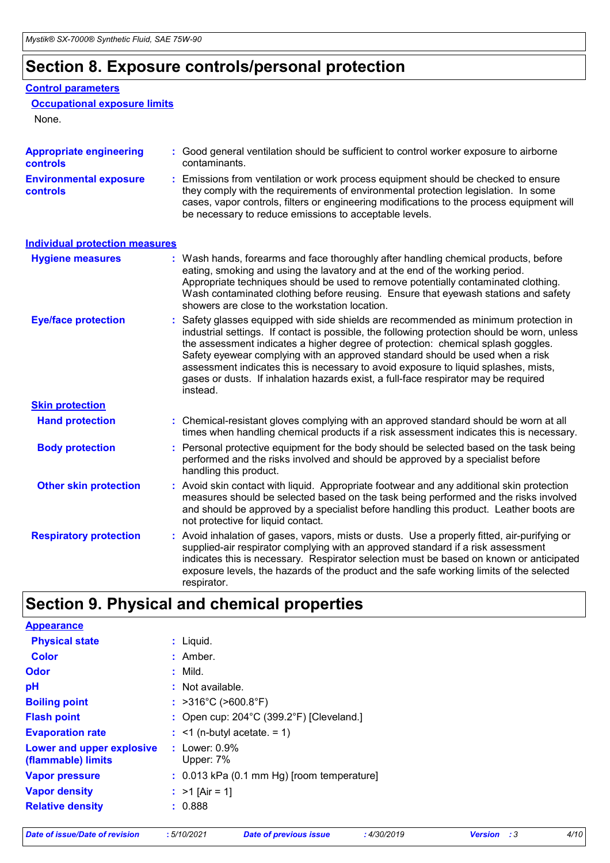## **Section 8. Exposure controls/personal protection**

### **Control parameters**

### **Occupational exposure limits**

None.

| <b>Appropriate engineering</b><br><b>controls</b> |    | : Good general ventilation should be sufficient to control worker exposure to airborne<br>contaminants.                                                                                                                                                                                                                                                                                                                                                                                                                                           |
|---------------------------------------------------|----|---------------------------------------------------------------------------------------------------------------------------------------------------------------------------------------------------------------------------------------------------------------------------------------------------------------------------------------------------------------------------------------------------------------------------------------------------------------------------------------------------------------------------------------------------|
| <b>Environmental exposure</b><br><b>controls</b>  |    | : Emissions from ventilation or work process equipment should be checked to ensure<br>they comply with the requirements of environmental protection legislation. In some<br>cases, vapor controls, filters or engineering modifications to the process equipment will<br>be necessary to reduce emissions to acceptable levels.                                                                                                                                                                                                                   |
| <b>Individual protection measures</b>             |    |                                                                                                                                                                                                                                                                                                                                                                                                                                                                                                                                                   |
| <b>Hygiene measures</b>                           |    | : Wash hands, forearms and face thoroughly after handling chemical products, before<br>eating, smoking and using the lavatory and at the end of the working period.<br>Appropriate techniques should be used to remove potentially contaminated clothing.<br>Wash contaminated clothing before reusing. Ensure that eyewash stations and safety<br>showers are close to the workstation location.                                                                                                                                                 |
| <b>Eye/face protection</b>                        | ÷. | Safety glasses equipped with side shields are recommended as minimum protection in<br>industrial settings. If contact is possible, the following protection should be worn, unless<br>the assessment indicates a higher degree of protection: chemical splash goggles.<br>Safety eyewear complying with an approved standard should be used when a risk<br>assessment indicates this is necessary to avoid exposure to liquid splashes, mists,<br>gases or dusts. If inhalation hazards exist, a full-face respirator may be required<br>instead. |
| <b>Skin protection</b>                            |    |                                                                                                                                                                                                                                                                                                                                                                                                                                                                                                                                                   |
| <b>Hand protection</b>                            |    | : Chemical-resistant gloves complying with an approved standard should be worn at all<br>times when handling chemical products if a risk assessment indicates this is necessary.                                                                                                                                                                                                                                                                                                                                                                  |
| <b>Body protection</b>                            | t. | Personal protective equipment for the body should be selected based on the task being<br>performed and the risks involved and should be approved by a specialist before<br>handling this product.                                                                                                                                                                                                                                                                                                                                                 |
| <b>Other skin protection</b>                      |    | : Avoid skin contact with liquid. Appropriate footwear and any additional skin protection<br>measures should be selected based on the task being performed and the risks involved<br>and should be approved by a specialist before handling this product. Leather boots are<br>not protective for liquid contact.                                                                                                                                                                                                                                 |
| <b>Respiratory protection</b>                     |    | : Avoid inhalation of gases, vapors, mists or dusts. Use a properly fitted, air-purifying or<br>supplied-air respirator complying with an approved standard if a risk assessment<br>indicates this is necessary. Respirator selection must be based on known or anticipated<br>exposure levels, the hazards of the product and the safe working limits of the selected<br>respirator.                                                                                                                                                             |

## **Section 9. Physical and chemical properties**

| <b>Appearance</b>                               |                                                               |
|-------------------------------------------------|---------------------------------------------------------------|
| <b>Physical state</b>                           | $:$ Liquid.                                                   |
| <b>Color</b>                                    | $:$ Amber.                                                    |
| <b>Odor</b>                                     | $:$ Mild.                                                     |
| pH                                              | : Not available.                                              |
| <b>Boiling point</b>                            | : $>316^{\circ}$ C ( $>600.8^{\circ}$ F)                      |
| <b>Flash point</b>                              | : Open cup: $204^{\circ}$ C (399.2 $^{\circ}$ F) [Cleveland.] |
| <b>Evaporation rate</b>                         | $\therefore$ <1 (n-butyl acetate. = 1)                        |
| Lower and upper explosive<br>(flammable) limits | $:$ Lower: $0.9\%$<br>Upper: 7%                               |
| <b>Vapor pressure</b>                           | $\therefore$ 0.013 kPa (0.1 mm Hg) [room temperature]         |
| <b>Vapor density</b>                            | : $>1$ [Air = 1]                                              |
| <b>Relative density</b>                         | : 0.888                                                       |

*Date of issue/Date of revision* **:** *5/10/2021 Date of previous issue : 4/30/2019 Version : 3 4/10*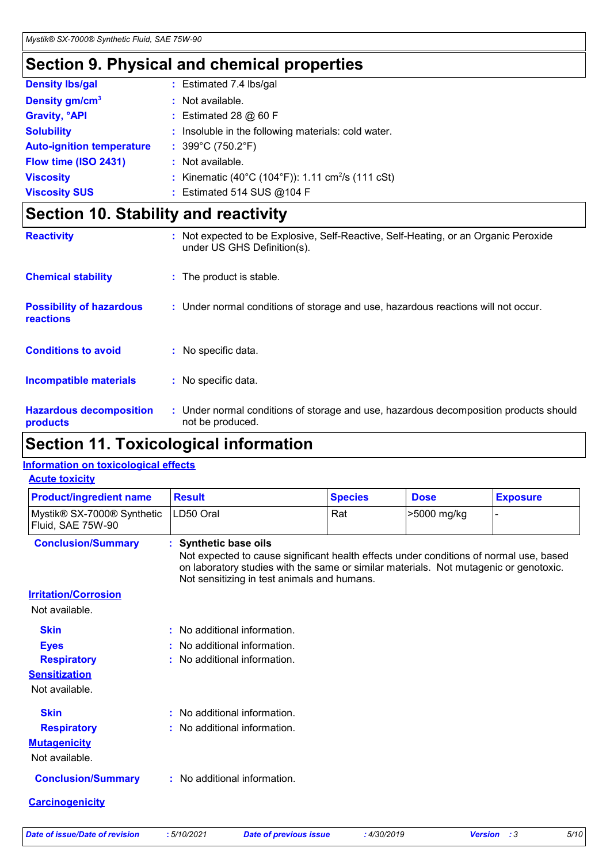## **Section 9. Physical and chemical properties**

| <b>Density Ibs/gal</b>           | : Estimated 7.4 lbs/gal                                       |
|----------------------------------|---------------------------------------------------------------|
| Density gm/cm <sup>3</sup>       | : Not available.                                              |
| <b>Gravity, <sup>o</sup>API</b>  | : Estimated 28 $@$ 60 F                                       |
| <b>Solubility</b>                | : Insoluble in the following materials: cold water.           |
| <b>Auto-ignition temperature</b> | : $399^{\circ}$ C (750.2 $^{\circ}$ F)                        |
| Flow time (ISO 2431)             | : Not available.                                              |
| <b>Viscosity</b>                 | : Kinematic (40°C (104°F)): 1.11 cm <sup>2</sup> /s (111 cSt) |
| <b>Viscosity SUS</b>             | : Estimated 514 SUS @104 F                                    |

## **Section 10. Stability and reactivity**

| <b>Reactivity</b>                            | : Not expected to be Explosive, Self-Reactive, Self-Heating, or an Organic Peroxide<br>under US GHS Definition(s). |
|----------------------------------------------|--------------------------------------------------------------------------------------------------------------------|
| <b>Chemical stability</b>                    | : The product is stable.                                                                                           |
| <b>Possibility of hazardous</b><br>reactions | : Under normal conditions of storage and use, hazardous reactions will not occur.                                  |
| <b>Conditions to avoid</b>                   | : No specific data.                                                                                                |
| <b>Incompatible materials</b>                | : No specific data.                                                                                                |
| <b>Hazardous decomposition</b><br>products   | : Under normal conditions of storage and use, hazardous decomposition products should<br>not be produced.          |

## **Section 11. Toxicological information**

### **Acute toxicity Information on toxicological effects**

| <b>Product/ingredient name</b>                  | <b>Result</b>                                                                                                                                                                                                                                           | <b>Species</b> | <b>Dose</b> | <b>Exposure</b> |
|-------------------------------------------------|---------------------------------------------------------------------------------------------------------------------------------------------------------------------------------------------------------------------------------------------------------|----------------|-------------|-----------------|
| Mystik® SX-7000® Synthetic<br>Fluid, SAE 75W-90 | LD50 Oral                                                                                                                                                                                                                                               | Rat            | >5000 mg/kg |                 |
| <b>Conclusion/Summary</b>                       | : Synthetic base oils<br>Not expected to cause significant health effects under conditions of normal use, based<br>on laboratory studies with the same or similar materials. Not mutagenic or genotoxic.<br>Not sensitizing in test animals and humans. |                |             |                 |
| <b>Irritation/Corrosion</b>                     |                                                                                                                                                                                                                                                         |                |             |                 |
| Not available.                                  |                                                                                                                                                                                                                                                         |                |             |                 |
| <b>Skin</b>                                     | : No additional information.                                                                                                                                                                                                                            |                |             |                 |
| <b>Eyes</b>                                     | No additional information.                                                                                                                                                                                                                              |                |             |                 |
| <b>Respiratory</b>                              | : No additional information.                                                                                                                                                                                                                            |                |             |                 |
| <b>Sensitization</b>                            |                                                                                                                                                                                                                                                         |                |             |                 |
| Not available.                                  |                                                                                                                                                                                                                                                         |                |             |                 |
| <b>Skin</b>                                     | No additional information.                                                                                                                                                                                                                              |                |             |                 |
| <b>Respiratory</b>                              | No additional information.                                                                                                                                                                                                                              |                |             |                 |
| <b>Mutagenicity</b>                             |                                                                                                                                                                                                                                                         |                |             |                 |
| Not available.                                  |                                                                                                                                                                                                                                                         |                |             |                 |
| <b>Conclusion/Summary</b>                       | : No additional information.                                                                                                                                                                                                                            |                |             |                 |
| <b>Carcinogenicity</b>                          |                                                                                                                                                                                                                                                         |                |             |                 |
|                                                 |                                                                                                                                                                                                                                                         |                |             |                 |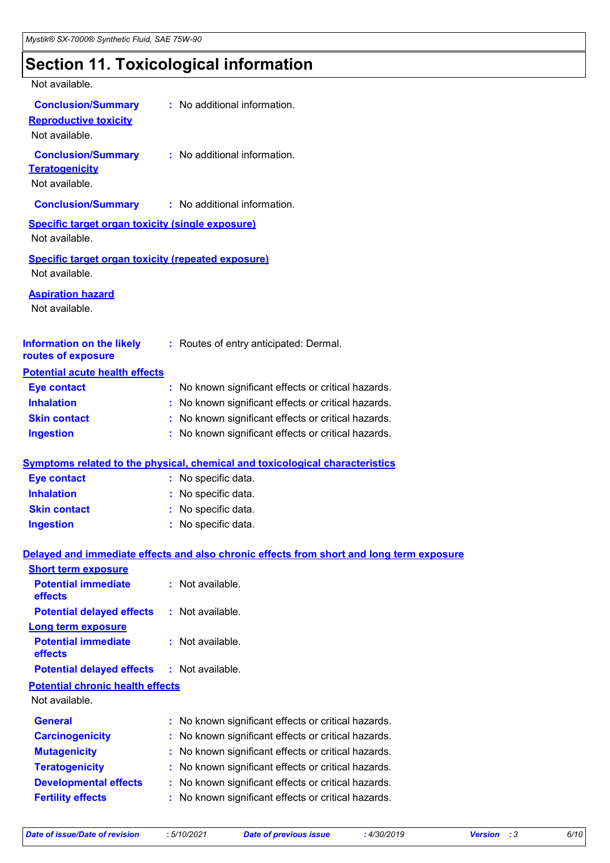## **Section 11. Toxicological information**

| Not available.                                            |    |                                                                                          |
|-----------------------------------------------------------|----|------------------------------------------------------------------------------------------|
| <b>Conclusion/Summary : No additional information.</b>    |    |                                                                                          |
| <b>Reproductive toxicity</b>                              |    |                                                                                          |
| Not available.                                            |    |                                                                                          |
| <b>Conclusion/Summary : No additional information.</b>    |    |                                                                                          |
| <b>Teratogenicity</b>                                     |    |                                                                                          |
| Not available.                                            |    |                                                                                          |
| <b>Conclusion/Summary : No additional information.</b>    |    |                                                                                          |
| <b>Specific target organ toxicity (single exposure)</b>   |    |                                                                                          |
| Not available.                                            |    |                                                                                          |
| <b>Specific target organ toxicity (repeated exposure)</b> |    |                                                                                          |
| Not available.                                            |    |                                                                                          |
| <b>Aspiration hazard</b>                                  |    |                                                                                          |
| Not available.                                            |    |                                                                                          |
|                                                           |    |                                                                                          |
|                                                           |    | <b>Information on the likely</b> : Routes of entry anticipated: Dermal.                  |
| routes of exposure                                        |    |                                                                                          |
| <b>Potential acute health effects</b>                     |    |                                                                                          |
| <b>Eye contact</b>                                        |    | : No known significant effects or critical hazards.                                      |
| <b>Inhalation</b>                                         |    | : No known significant effects or critical hazards.                                      |
| <b>Skin contact</b>                                       |    | : No known significant effects or critical hazards.                                      |
| <b>Ingestion</b>                                          |    | : No known significant effects or critical hazards.                                      |
|                                                           |    | <b>Symptoms related to the physical, chemical and toxicological characteristics</b>      |
| <b>Eye contact</b>                                        |    | : No specific data.                                                                      |
| <b>Inhalation</b>                                         |    | : No specific data.                                                                      |
| <b>Skin contact</b>                                       |    | : No specific data.                                                                      |
| <b>Ingestion</b>                                          |    | : No specific data.                                                                      |
|                                                           |    |                                                                                          |
|                                                           |    | Delayed and immediate effects and also chronic effects from short and long term exposure |
| <b>Short term exposure</b><br><b>Potential immediate</b>  |    | $:$ Not available.                                                                       |
| effects                                                   |    |                                                                                          |
| <b>Potential delayed effects</b>                          |    | $:$ Not available.                                                                       |
| Long term exposure                                        |    |                                                                                          |
| <b>Potential immediate</b><br>effects                     |    | : Not available.                                                                         |
| <b>Potential delayed effects</b>                          |    | $:$ Not available.                                                                       |
| <b>Potential chronic health effects</b>                   |    |                                                                                          |
| Not available.                                            |    |                                                                                          |
| General                                                   |    | : No known significant effects or critical hazards.                                      |
| <b>Carcinogenicity</b>                                    |    | No known significant effects or critical hazards.                                        |
| <b>Mutagenicity</b>                                       | t  | No known significant effects or critical hazards.                                        |
| <b>Teratogenicity</b>                                     |    | No known significant effects or critical hazards.                                        |
| <b>Developmental effects</b>                              | t. | No known significant effects or critical hazards.                                        |
| <b>Fertility effects</b>                                  |    | : No known significant effects or critical hazards.                                      |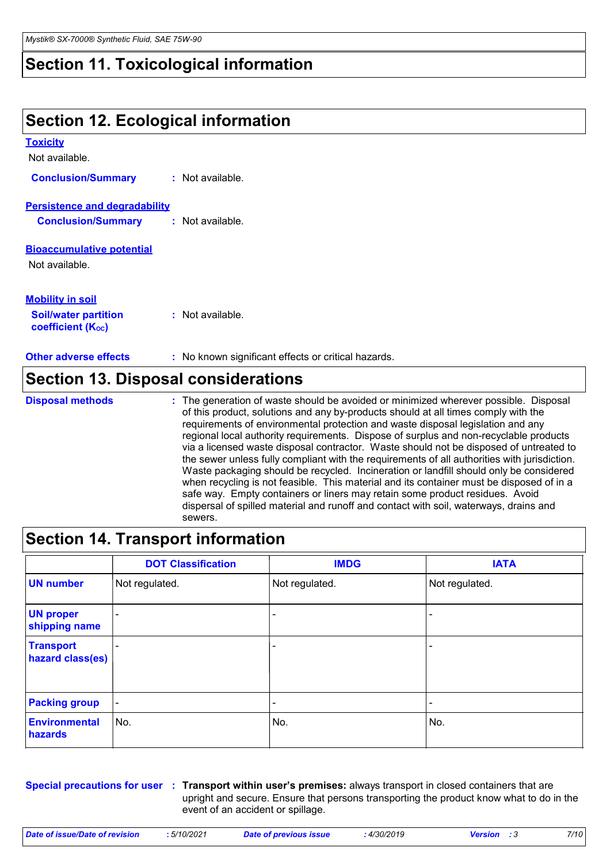## **Section 11. Toxicological information**

## **Section 12. Ecological information**

| <b>Toxicity</b>                                         |                                                                                                                                                                                                                                                               |
|---------------------------------------------------------|---------------------------------------------------------------------------------------------------------------------------------------------------------------------------------------------------------------------------------------------------------------|
| Not available.                                          |                                                                                                                                                                                                                                                               |
| <b>Conclusion/Summary</b>                               | : Not available.                                                                                                                                                                                                                                              |
| <b>Persistence and degradability</b>                    |                                                                                                                                                                                                                                                               |
| <b>Conclusion/Summary</b>                               | : Not available.                                                                                                                                                                                                                                              |
| <b>Bioaccumulative potential</b>                        |                                                                                                                                                                                                                                                               |
| Not available.                                          |                                                                                                                                                                                                                                                               |
| <b>Mobility in soil</b>                                 |                                                                                                                                                                                                                                                               |
| <b>Soil/water partition</b><br><b>coefficient (Koc)</b> | : Not available.                                                                                                                                                                                                                                              |
| <b>Other adverse effects</b>                            | : No known significant effects or critical hazards.                                                                                                                                                                                                           |
|                                                         | <b>Section 13. Disposal considerations</b>                                                                                                                                                                                                                    |
| <b>Disposal methods</b>                                 | : The generation of waste should be avoided or minimized wherever possible. Disposal<br>of this product, solutions and any by-products should at all times comply with the<br>requirements of environmental protection and waste disposal legislation and any |

regional local authority requirements. Dispose of surplus and non-recyclable products via a licensed waste disposal contractor. Waste should not be disposed of untreated to the sewer unless fully compliant with the requirements of all authorities with jurisdiction. Waste packaging should be recycled. Incineration or landfill should only be considered when recycling is not feasible. This material and its container must be disposed of in a safe way. Empty containers or liners may retain some product residues. Avoid dispersal of spilled material and runoff and contact with soil, waterways, drains and sewers.

### **Section 14. Transport information**

|                                      | <b>DOT Classification</b> | <b>IMDG</b>              | <b>IATA</b>              |
|--------------------------------------|---------------------------|--------------------------|--------------------------|
| <b>UN number</b>                     | Not regulated.            | Not regulated.           | Not regulated.           |
| <b>UN proper</b><br>shipping name    |                           | $\overline{\phantom{0}}$ | $\overline{\phantom{a}}$ |
| <b>Transport</b><br>hazard class(es) |                           | $\overline{\phantom{0}}$ | $\overline{\phantom{a}}$ |
| <b>Packing group</b>                 | $\blacksquare$            | $\overline{\phantom{0}}$ | $\overline{\phantom{a}}$ |
| <b>Environmental</b><br>hazards      | No.                       | No.                      | No.                      |

**Special precautions for user Transport within user's premises:** always transport in closed containers that are **:** upright and secure. Ensure that persons transporting the product know what to do in the event of an accident or spillage.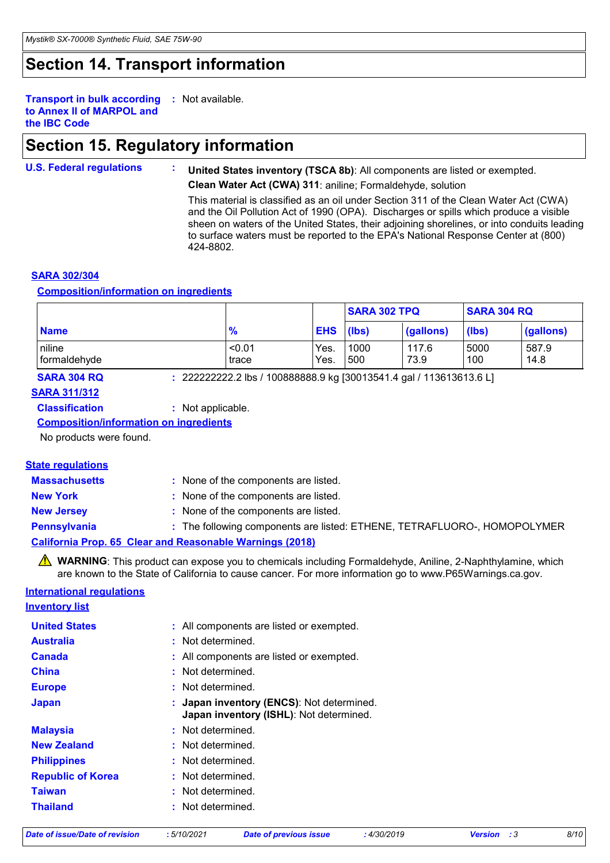## **Section 14. Transport information**

**Transport in bulk according :** Not available. **to Annex II of MARPOL and the IBC Code**

## **Section 15. Regulatory information**

**U.S. Federal regulations : United States inventory (TSCA 8b)**: All components are listed or exempted. **Clean Water Act (CWA) 311**: aniline; Formaldehyde, solution

> This material is classified as an oil under Section 311 of the Clean Water Act (CWA) and the Oil Pollution Act of 1990 (OPA). Discharges or spills which produce a visible sheen on waters of the United States, their adjoining shorelines, or into conduits leading to surface waters must be reported to the EPA's National Response Center at (800) 424-8802.

### **SARA 302/304**

### **Composition/information on ingredients**

|                        |                 |              | <b>SARA 302 TPQ</b> |               | <b>SARA 304 RQ</b> |               |
|------------------------|-----------------|--------------|---------------------|---------------|--------------------|---------------|
| <b>Name</b>            | $\frac{9}{6}$   | <b>EHS</b>   | (lbs)               | (gallons)     | (lbs)              | (gallons)     |
| niline<br>formaldehyde | < 0.01<br>trace | Yes.<br>Yes. | 1000<br>500         | 117.6<br>73.9 | 5000<br>100        | 587.9<br>14.8 |

**SARA 304 RQ :** 222222222.2 lbs / 100888888.9 kg [30013541.4 gal / 113613613.6 L]

### **SARA 311/312**

**Classification :** Not applicable.

**Composition/information on ingredients**

No products were found.

### **State regulations**

| <b>Massachusetts</b>                                            | : None of the components are listed.                                     |  |  |
|-----------------------------------------------------------------|--------------------------------------------------------------------------|--|--|
| <b>New York</b>                                                 | : None of the components are listed.                                     |  |  |
| <b>New Jersey</b>                                               | : None of the components are listed.                                     |  |  |
| <b>Pennsylvania</b>                                             | : The following components are listed: ETHENE, TETRAFLUORO-, HOMOPOLYMER |  |  |
| <b>California Prop. 65 Clear and Reasonable Warnings (2018)</b> |                                                                          |  |  |

**A** WARNING: This product can expose you to chemicals including Formaldehyde, Aniline, 2-Naphthylamine, which are known to the State of California to cause cancer. For more information go to www.P65Warnings.ca.gov.

### **International regulations**

| Inventory list           |                                                                                      |
|--------------------------|--------------------------------------------------------------------------------------|
| <b>United States</b>     | : All components are listed or exempted.                                             |
| <b>Australia</b>         | : Not determined.                                                                    |
| <b>Canada</b>            | : All components are listed or exempted.                                             |
| <b>China</b>             | : Not determined.                                                                    |
| <b>Europe</b>            | : Not determined.                                                                    |
| <b>Japan</b>             | : Japan inventory (ENCS): Not determined.<br>Japan inventory (ISHL): Not determined. |
| <b>Malaysia</b>          | : Not determined.                                                                    |
| <b>New Zealand</b>       | : Not determined.                                                                    |
| <b>Philippines</b>       | : Not determined.                                                                    |
| <b>Republic of Korea</b> | : Not determined.                                                                    |
| <b>Taiwan</b>            | : Not determined.                                                                    |
| <b>Thailand</b>          | : Not determined.                                                                    |
|                          |                                                                                      |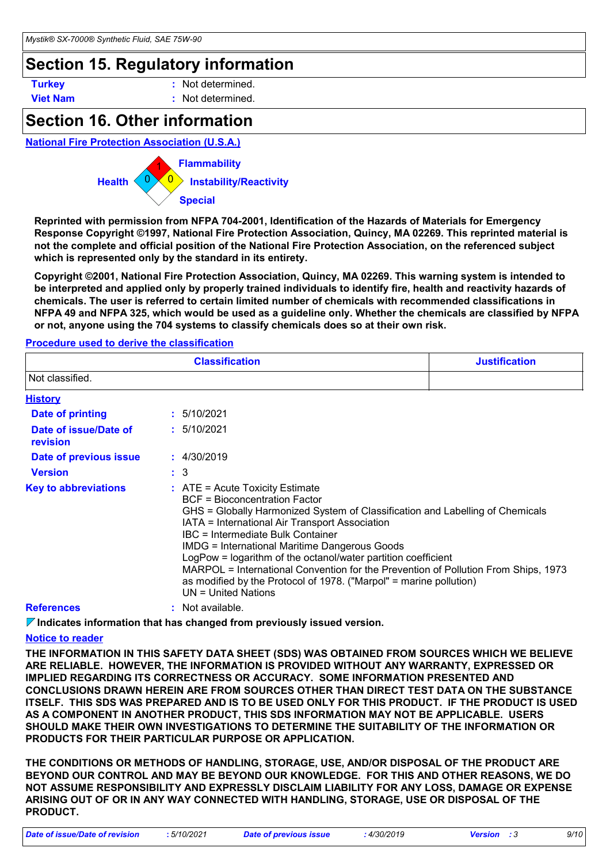### **Section 15. Regulatory information**

**Turkey :** Not determined.

**Viet Nam :** Not determined.

## **Section 16. Other information**

### **National Fire Protection Association (U.S.A.)**



**Reprinted with permission from NFPA 704-2001, Identification of the Hazards of Materials for Emergency Response Copyright ©1997, National Fire Protection Association, Quincy, MA 02269. This reprinted material is not the complete and official position of the National Fire Protection Association, on the referenced subject which is represented only by the standard in its entirety.**

**Copyright ©2001, National Fire Protection Association, Quincy, MA 02269. This warning system is intended to be interpreted and applied only by properly trained individuals to identify fire, health and reactivity hazards of chemicals. The user is referred to certain limited number of chemicals with recommended classifications in NFPA 49 and NFPA 325, which would be used as a guideline only. Whether the chemicals are classified by NFPA or not, anyone using the 704 systems to classify chemicals does so at their own risk.**

### **Procedure used to derive the classification**

|                                   | <b>Classification</b>                                                                                                                                                                                                                                                                                                                                                                                                                                                                                                                                         | <b>Justification</b> |
|-----------------------------------|---------------------------------------------------------------------------------------------------------------------------------------------------------------------------------------------------------------------------------------------------------------------------------------------------------------------------------------------------------------------------------------------------------------------------------------------------------------------------------------------------------------------------------------------------------------|----------------------|
| Not classified.                   |                                                                                                                                                                                                                                                                                                                                                                                                                                                                                                                                                               |                      |
| <u>History</u>                    |                                                                                                                                                                                                                                                                                                                                                                                                                                                                                                                                                               |                      |
| <b>Date of printing</b>           | : 5/10/2021                                                                                                                                                                                                                                                                                                                                                                                                                                                                                                                                                   |                      |
| Date of issue/Date of<br>revision | : 5/10/2021                                                                                                                                                                                                                                                                                                                                                                                                                                                                                                                                                   |                      |
| Date of previous issue            | : 4/30/2019                                                                                                                                                                                                                                                                                                                                                                                                                                                                                                                                                   |                      |
| <b>Version</b>                    | $\colon$ 3                                                                                                                                                                                                                                                                                                                                                                                                                                                                                                                                                    |                      |
| <b>Key to abbreviations</b>       | $:$ ATE = Acute Toxicity Estimate<br><b>BCF</b> = Bioconcentration Factor<br>GHS = Globally Harmonized System of Classification and Labelling of Chemicals<br>IATA = International Air Transport Association<br>IBC = Intermediate Bulk Container<br><b>IMDG = International Maritime Dangerous Goods</b><br>LogPow = logarithm of the octanol/water partition coefficient<br>MARPOL = International Convention for the Prevention of Pollution From Ships, 1973<br>as modified by the Protocol of 1978. ("Marpol" = marine pollution)<br>UN = United Nations |                      |
| <b>References</b>                 | : Not available.                                                                                                                                                                                                                                                                                                                                                                                                                                                                                                                                              |                      |

**Indicates information that has changed from previously issued version.**

### **Notice to reader**

**THE INFORMATION IN THIS SAFETY DATA SHEET (SDS) WAS OBTAINED FROM SOURCES WHICH WE BELIEVE ARE RELIABLE. HOWEVER, THE INFORMATION IS PROVIDED WITHOUT ANY WARRANTY, EXPRESSED OR IMPLIED REGARDING ITS CORRECTNESS OR ACCURACY. SOME INFORMATION PRESENTED AND CONCLUSIONS DRAWN HEREIN ARE FROM SOURCES OTHER THAN DIRECT TEST DATA ON THE SUBSTANCE ITSELF. THIS SDS WAS PREPARED AND IS TO BE USED ONLY FOR THIS PRODUCT. IF THE PRODUCT IS USED AS A COMPONENT IN ANOTHER PRODUCT, THIS SDS INFORMATION MAY NOT BE APPLICABLE. USERS SHOULD MAKE THEIR OWN INVESTIGATIONS TO DETERMINE THE SUITABILITY OF THE INFORMATION OR PRODUCTS FOR THEIR PARTICULAR PURPOSE OR APPLICATION.**

**THE CONDITIONS OR METHODS OF HANDLING, STORAGE, USE, AND/OR DISPOSAL OF THE PRODUCT ARE BEYOND OUR CONTROL AND MAY BE BEYOND OUR KNOWLEDGE. FOR THIS AND OTHER REASONS, WE DO NOT ASSUME RESPONSIBILITY AND EXPRESSLY DISCLAIM LIABILITY FOR ANY LOSS, DAMAGE OR EXPENSE ARISING OUT OF OR IN ANY WAY CONNECTED WITH HANDLING, STORAGE, USE OR DISPOSAL OF THE PRODUCT.**

*Date of issue/Date of revision* **:** *5/10/2021 Date of previous issue : 4/30/2019 Version : 3 9/10*